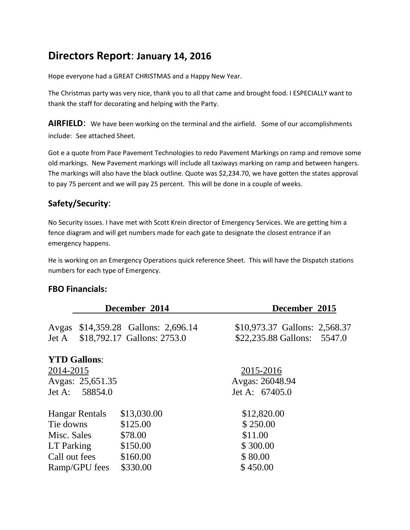# **Directors Report**: **January 14, 2016**

Hope everyone had a GREAT CHRISTMAS and a Happy New Year.

The Christmas party was very nice, thank you to all that came and brought food. I ESPECIALLY want to thank the staff for decorating and helping with the Party.

**AIRFIELD:** We have been working on the terminal and the airfield. Some of our accomplishments include: See attached Sheet.

Got e a quote from Pace Pavement Technologies to redo Pavement Markings on ramp and remove some old markings. New Pavement markings will include all taxiways marking on ramp and between hangers. The markings will also have the black outline. Quote was \$2,234.70, we have gotten the states approval to pay 75 percent and we will pay 25 percent. This will be done in a couple of weeks.

# **Safety/Security**:

No Security issues. I have met with Scott Krein director of Emergency Services. We are getting him a fence diagram and will get numbers made for each gate to designate the closest entrance if an emergency happens.

He is working on an Emergency Operations quick reference Sheet. This will have the Dispatch stations numbers for each type of Emergency.

#### **FBO Financials:**

|                       |                | December 2014                 | December 2015                 |  |
|-----------------------|----------------|-------------------------------|-------------------------------|--|
| Avgas                 |                | \$14,359.28 Gallons: 2,696.14 | \$10,973.37 Gallons: 2,568.37 |  |
| Jet A                 |                | \$18,792.17 Gallons: 2753.0   | \$22,235.88 Gallons: 5547.0   |  |
| <b>YTD Gallons:</b>   |                |                               |                               |  |
| 2014-2015             |                |                               | 2015-2016                     |  |
| Avgas: 25,651.35      |                |                               | Avgas: 26048.94               |  |
|                       | Jet A: 58854.0 |                               | Jet A: 67405.0                |  |
| <b>Hangar Rentals</b> |                | \$13,030.00                   | \$12,820.00                   |  |
| Tie downs             |                | \$125.00                      | \$250.00                      |  |
| Misc. Sales           |                | \$78.00                       | \$11.00                       |  |
| LT Parking            |                | \$150.00                      | \$300.00                      |  |
| Call out fees         |                | \$160.00                      | \$80.00                       |  |
| Ramp/GPU fees         |                | \$330.00                      | \$450.00                      |  |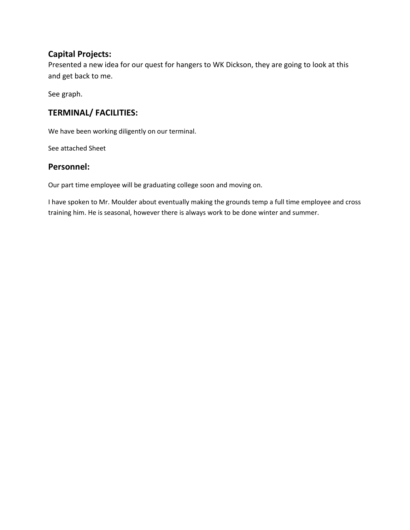### **Capital Projects:**

Presented a new idea for our quest for hangers to WK Dickson, they are going to look at this and get back to me.

See graph.

## **TERMINAL/ FACILITIES:**

We have been working diligently on our terminal.

See attached Sheet

#### **Personnel:**

Our part time employee will be graduating college soon and moving on.

I have spoken to Mr. Moulder about eventually making the grounds temp a full time employee and cross training him. He is seasonal, however there is always work to be done winter and summer.